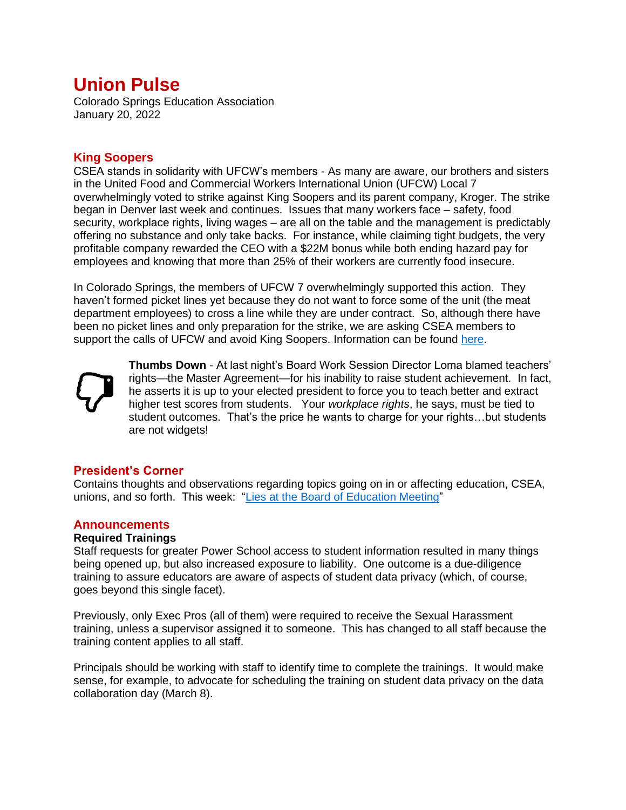# **Union Pulse**

Colorado Springs Education Association January 20, 2022

## **King Soopers**

CSEA stands in solidarity with UFCW's members - As many are aware, our brothers and sisters in the United Food and Commercial Workers International Union (UFCW) Local 7 overwhelmingly voted to strike against King Soopers and its parent company, Kroger. The strike began in Denver last week and continues. Issues that many workers face – safety, food security, workplace rights, living wages – are all on the table and the management is predictably offering no substance and only take backs. For instance, while claiming tight budgets, the very profitable company rewarded the CEO with a \$22M bonus while both ending hazard pay for employees and knowing that more than 25% of their workers are currently food insecure.

In Colorado Springs, the members of UFCW 7 overwhelmingly supported this action. They haven't formed picket lines yet because they do not want to force some of the unit (the meat department employees) to cross a line while they are under contract. So, although there have been no picket lines and only preparation for the strike, we are asking CSEA members to support the calls of UFCW and avoid King Soopers. Information can be found [here.](http://ufcw7.org/members/retail-bargaining-updates/)



**Thumbs Down** - At last night's Board Work Session Director Loma blamed teachers' rights—the Master Agreement—for his inability to raise student achievement. In fact, he asserts it is up to your elected president to force you to teach better and extract higher test scores from students. Your *workplace rights*, he says, must be tied to student outcomes. That's the price he wants to charge for your rights…but students are not widgets!

## **President's Corner**

Contains thoughts and observations regarding topics going on in or affecting education, CSEA, unions, and so forth. This week: ["Lies at the Board of Education Meeting"](https://www.cseateacher.org/wp/wp-content/uploads/2022/01/Lies-at-the-Board-of-Education-Meeting-Presidents-Corner-22-01-20.pdf)

## **Announcements**

#### **Required Trainings**

Staff requests for greater Power School access to student information resulted in many things being opened up, but also increased exposure to liability. One outcome is a due-diligence training to assure educators are aware of aspects of student data privacy (which, of course, goes beyond this single facet).

Previously, only Exec Pros (all of them) were required to receive the Sexual Harassment training, unless a supervisor assigned it to someone. This has changed to all staff because the training content applies to all staff.

Principals should be working with staff to identify time to complete the trainings. It would make sense, for example, to advocate for scheduling the training on student data privacy on the data collaboration day (March 8).